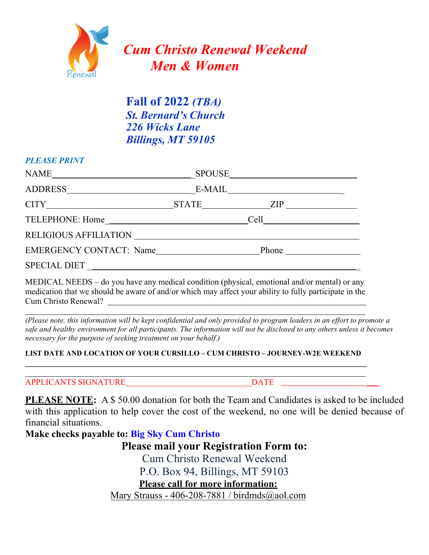

## **Fall of 2022** *(TBA) St. Bernard's Church 226 Wicks Lane Billings, MT 59105*

#### *PLEASE PRINT*

| NAME SPOUSE                    |  |  |
|--------------------------------|--|--|
|                                |  |  |
| CITY STATE ZIP                 |  |  |
|                                |  |  |
|                                |  |  |
| <b>EMERGENCY CONTACT:</b> Name |  |  |
| SPECIAL DIET                   |  |  |

MEDICAL NEEDS – do you have any medical condition (physical, emotional and/or mental) or any medication that we should be aware of and/or which may affect your ability to fully participate in the Cum Christo Renewal?

*(Please note, this information will be kept confidential and only provided to program leaders in an effort to promote a safe and healthy environment for all participants. The information will not be disclosed to any others unless it becomes necessary for the purpose of seeking treatment on your behalf.)* 

#### **LIST DATE AND LOCATION OF YOUR CURSILLO – CUM CHRISTO – JOURNEY-W2E WEEKEND**

APPLICANTS SIGNATURE DATE

**PLEASE NOTE:** A \$ 50.00 donation for both the Team and Candidates is asked to be included with this application to help cover the cost of the weekend, no one will be denied because of financial situations.

**Make checks payable to: Big Sky Cum Christo**

**Please mail your Registration Form to:** 

Cum Christo Renewal Weekend

P.O. Box 94, Billings, MT 59103

**Please call for more information:** 

Mary Strauss - 406-208-7881 / birdmds@aol.com